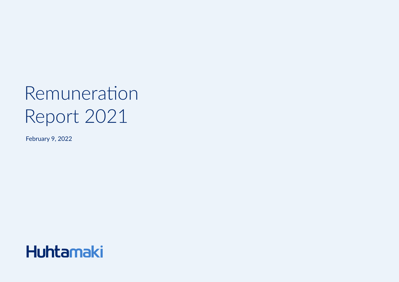# Remuneration Report 2021

February 9, 2022

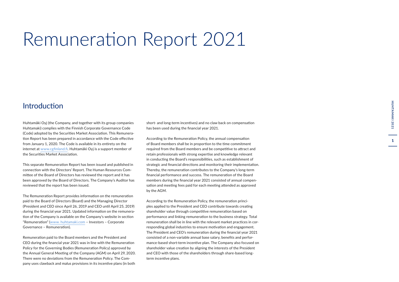## Remuneration Report 2021

## Introduction

Huhtamäki Oyj (the Company, and together with its group companies Huhtamaki) complies with the Finnish Corporate Governance Code (Code) adopted by the Securities Market Association. This Remuneration Report has been prepared in accordance with the Code effective from January 1, 2020. The Code is available in its entirety on the internet at [www.cgfinland.fi.](https://cgfinland.fi/en/) Huhtamäki Oyj is a support member of the Securities Market Association.

This separate Remuneration Report has been issued and published in connection with the Directors' Report. The Human Resources Committee of the Board of Directors has reviewed the report and it has been approved by the Board of Directors. The Company's Auditor has reviewed that the report has been issued.

The Remuneration Report provides information on the remuneration paid to the Board of Directors (Board) and the Managing Director (President and CEO since April 26, 2019 and CEO until April 25, 2019) during the financial year 2021. Updated information on the remuneration of the Company is available on the Company's website in section "Remuneration" ([www. huhtamaki.com](https://www.huhtamaki.com/en/investors/corporate-governance/remuneration/) – Investors – Corporate Governance – Remuneration).

Remuneration paid to the Board members and the President and CEO during the financial year 2021 was in line with the Remuneration Policy for the Governing Bodies (Remuneration Policy) approved by the Annual General Meeting of the Company (AGM) on April 29, 2020. There were no deviations from the Remuneration Policy. The Company uses clawback and malus provisions in its incentive plans (in both

short- and long-term incentives) and no claw back on compensation has been used during the financial year 2021.

According to the Remuneration Policy, the annual compensation of Board members shall be in proportion to the time commitment required from the Board members and be competitive to attract and retain professionals with strong expertise and knowledge relevant in conducting the Board's responsibilities, such as establishment of strategic and financial directions and monitoring their implementation. Thereby, the remuneration contributes to the Company's long-term financial performance and success. The remuneration of the Board members during the financial year 2021 consisted of annual compensation and meeting fees paid for each meeting attended as approved by the AGM.

According to the Remuneration Policy, the remuneration principles applied to the President and CEO contribute towards creating shareholder value through competitive remuneration based on performance and linking remuneration to the business strategy. Total remuneration shall be in line with the relevant market practices in corresponding global industries to ensure motivation and engagement. The President and CEO's remuneration during the financial year 2021 consisted of a non-variable annual base salary, benefits and performance-based short-term incentive plan. The Company also focused on shareholder value creation by aligning the interests of the President and CEO with those of the shareholders through share-based longterm incentive plans.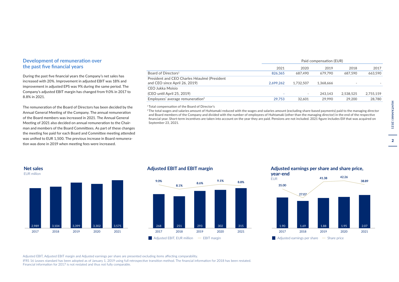## **Development of remuneration over the past five financial years**

During the past five financial years the Company's net sales has increased with 20%. Improvement in adjusted EBIT was 18% and improvement in adjusted EPS was 9% during the same period. The Company's adjusted EBIT margin has changed from 9.0% in 2017 to 8.8% in 2021.

The remuneration of the Board of Directors has been decided by the Annual General Meeting of the Company. The annual remuneration of the Board members was increased in 2021. The Annual General Meeting of 2021 also decided on annual remuneration to the Chairman and members of the Board Committees. As part of these changes the meeting fee paid for each Board and Committee meeting attended was unified to EUR 1,500. The previous increase in Board remuneration was done in 2019 when meeting fees were increased.

|                                                                               | Paid compensation (EUR) |           |           |           |           |
|-------------------------------------------------------------------------------|-------------------------|-----------|-----------|-----------|-----------|
|                                                                               | 2021                    | 2020      | 2019      | 2018      | 2017      |
| Board of Directors <sup>1</sup>                                               | 826.365                 | 687.490   | 679.790   | 687.590   | 663.590   |
| President and CEO Charles Héaulmé (President<br>and CEO since April 26, 2019) | 2.699.262               | 1.732.507 | 1.368.666 | ۰         |           |
| CEO Jukka Moisio                                                              |                         |           |           |           |           |
| (CEO until April 25, 2019)                                                    |                         |           | 243.143   | 2.538.525 | 2.755.159 |
| Employees' average remuneration $2$                                           | 29.753                  | 32.601    | 29.990    | 29,200    | 28,780    |
|                                                                               |                         |           |           |           |           |

<sup>1</sup>Total compensation of the Board of Director's

<sup>2</sup>The total wages and salaries amount of Huhtamaki reduced with the wages and salaries amount (excluding share-based payments) paid to the managing director and Board members of the Company and divided with the number of employees of Huhtamaki (other than the managing director) in the end of the respective financial year. Short-term incentives are taken into account on the year they are paid. Pensions are not included. 2021 figure includes Elif that was acquired on September 23, 2021.



#### **Adjusted EBIT and EBIT margin**



## **Adjusted earnings per share and share price,**



Adjusted EBIT, Adjusted EBIT margin and Adjusted earnings per share are presented excluding items affecting comparability.

**2017 2018 2019 2020 2021** IFRS 16 Leases standard has been adopted as of January 1, 2019 using full retrospective transition method. The financial information for 2018 has been restated. Financial information for  $2017$  is not restated and thus not fully comparable.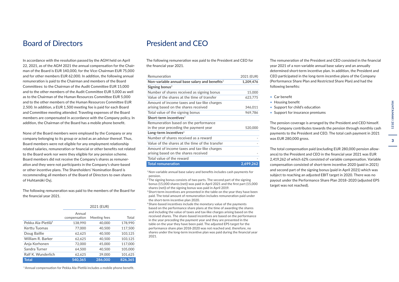## Board of Directors

In accordance with the resolution passed by the AGM held on April 22, 2021, as of the AGM 2021 the annual compensation for the Chairman of the Board is EUR 140,000, for the Vice-Chairman EUR 75,000 and for other members EUR 62,000. In addition, the following annual remuneration is paid to the Chairman and members of the Board Committees: to the Chairman of the Audit Committee EUR 15,000 and to the other members of the Audit Committee EUR 5,000 as well as to the Chairman of the Human Resources Committee EUR 5,000 and to the other members of the Human Resources Committee EUR 2,500. In addition, a EUR 1,500 meeting fee is paid for each Board and Committee meeting attended. Traveling expenses of the Board members are compensated in accordance with the Company policy. In addition, the Chairman of the Board has a mobile phone benefit.

None of the Board members were employed by the Company or any company belonging to its group or acted as an advisor thereof. Thus, Board members were not eligible for any employment relationship related salaries, remuneration or financial or other benefits not related to the Board work nor were they eligible for any pension scheme. Board members did not receive the Company's shares as remuneration and they were not participants in the Company's share-based or other incentive plans. The Shareholders' Nomination Board is recommending all members of the Board of Directors to own shares of Huhtamäki Oyj.

The following remuneration was paid to the members of the Board for the financial year 2021.

|                                | 2021 (EUR)             |              |         |  |
|--------------------------------|------------------------|--------------|---------|--|
|                                | Annual<br>compensation | Meeting fees | Total   |  |
| Pekka Ala-Pietilä <sup>1</sup> | 138,990                | 40,000       | 178,990 |  |
| Kerttu Tuomas                  | 77,000                 | 40.500       | 117.500 |  |
| Doug Baillie                   | 62,625                 | 40,500       | 103,125 |  |
| William R. Barker              | 62,625                 | 40,500       | 103,125 |  |
| Anja Korhonen                  | 72,000                 | 45,000       | 117,000 |  |
| Sandra Turner                  | 64,500                 | 40,500       | 105,000 |  |
| Ralf K. Wunderlich             | 62,625                 | 39,000       | 101,625 |  |
| <b>Total</b>                   | 540.365                | 286,000      | 826,365 |  |

President and CEO

The following remuneration was paid to the President and CEO for the financial year 2021.

| Remuneration                                     | 2021 (EUR) |
|--------------------------------------------------|------------|
| Non-variable annual base salary and benefits $1$ | 1,209,476  |
| Signing bonus <sup>2</sup>                       |            |
| Number of shares received as signing bonus       | 15,000     |
| Value of the shares at the time of transfer      | 623,775    |
| Amount of income taxes and tax-like charges      |            |
| arising based on the shares received             | 346,011    |
| Total value of the signing bonus                 | 969,786    |
| Short-term incentives $3$                        |            |
| Remuneration based on the performance            |            |
| in the year preceding the payment year           | 520,000    |
| Long-term incentives $4$                         |            |
| Number of shares received as a reward            |            |
| Value of the shares at the time of the transfer  |            |
| Amount of income taxes and tax-like charges      |            |
| arising based on the shares received             |            |
| Total value of the reward                        |            |
| <b>Total remuneration</b>                        | 2,699,262  |

<sup>1</sup>Non-variable annual base salary and benefits includes cash payments for pension.

<sup>2</sup>The signing bonus consists of two parts. The second part of the signing bonus (15,000 shares (net)) was paid in April 2021 and the first part (15,000 shares (net)) of the signing bonus was paid in April 2019. <sup>3</sup> Short-term incentives are presented in the table on the year they have been

paid. The total amount of remuneration includes remuneration paid under the short-term incentive plan 2020.

4 Share-based incentives include the monetary value of the payments based on the performance share plans at the time of awarding the shares and including the value of taxes and tax-like charges arising based on the received shares. The share-based incentives are based on the performance in the year preceding the payment year and they are presented in the table on the year they have been paid. The adjusted EPS target for the performance share plan 2018-2020 was not reached and, therefore, no shares under the long-term incentive plan was paid during the financial year 2021.

The remuneration of the President and CEO consisted in the financial year 2021 of a non-variable annual base salary and an annually determined short-term incentive plan. In addition, the President and CEO participated in the long-term incentive plans of the Company (Performance Share Plan and Restricted Share Plan) and had the following benefits:

- Car benefit
- Housing benefit
- Support for child's education
- Support for insurance premiums

The pension coverage is arranged by the President and CEO himself. The Company contributes towards the pension through monthly cash payments to the President and CEO. The total cash payment in 2021 was EUR 280,000 gross.

The total compensation paid (excluding EUR 280,000 pension allowance) to the President and CEO in the financial year 2021 was EUR 2,419,262 of which 62% consisted of variable compensation. Variable compensation consisted of short-term incentive 2020 (paid in 2021) and second part of the signing bonus (paid in April 2021) which was subject to reaching an adjusted EBIT target in 2020. There was no payout under the Performance Share Plan 2018–2020 (adjusted EPS target was not reached).